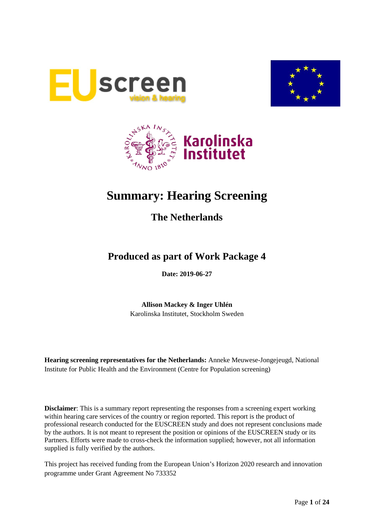





# **Summary: Hearing Screening**

## **The Netherlands**

## **Produced as part of Work Package 4**

**Date: 2019-06-27**

**Allison Mackey & Inger Uhlén** Karolinska Institutet, Stockholm Sweden

**Hearing screening representatives for the Netherlands:** Anneke Meuwese-Jongejeugd, National Institute for Public Health and the Environment (Centre for Population screening)

**Disclaimer**: This is a summary report representing the responses from a screening expert working within hearing care services of the country or region reported. This report is the product of professional research conducted for the EUSCREEN study and does not represent conclusions made by the authors. It is not meant to represent the position or opinions of the EUSCREEN study or its Partners. Efforts were made to cross-check the information supplied; however, not all information supplied is fully verified by the authors.

This project has received funding from the European Union's Horizon 2020 research and innovation programme under Grant Agreement No 733352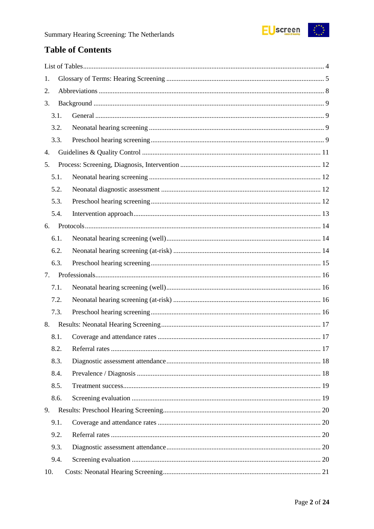

## **Table of Contents**

| 1.   |  |
|------|--|
| 2.   |  |
| 3.   |  |
| 3.1. |  |
| 3.2. |  |
| 3.3. |  |
| 4.   |  |
| 5.   |  |
| 5.1. |  |
| 5.2. |  |
| 5.3. |  |
| 5.4. |  |
| 6.   |  |
| 6.1. |  |
| 6.2. |  |
| 6.3. |  |
| 7.   |  |
| 7.1. |  |
| 7.2. |  |
| 7.3. |  |
| 8.   |  |
| 8.1. |  |
| 8.2. |  |
| 8.3. |  |
| 8.4. |  |
| 8.5. |  |
| 8.6. |  |
| 9.   |  |
| 9.1. |  |
| 9.2. |  |
| 9.3. |  |
| 9.4. |  |
| 10.  |  |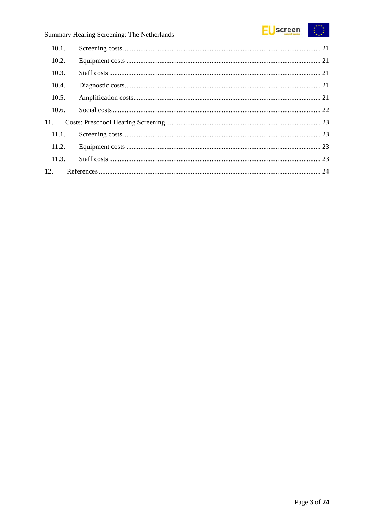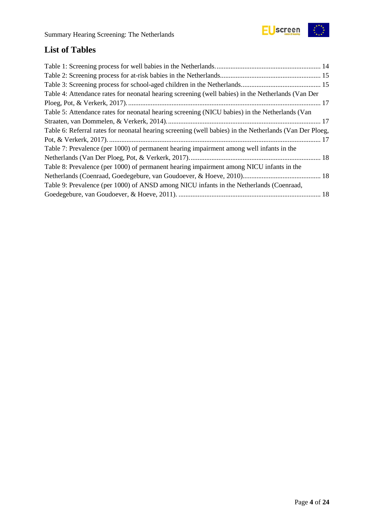

## <span id="page-3-0"></span>**List of Tables**

| Table 4: Attendance rates for neonatal hearing screening (well babies) in the Netherlands (Van Der      |  |
|---------------------------------------------------------------------------------------------------------|--|
|                                                                                                         |  |
| Table 5: Attendance rates for neonatal hearing screening (NICU babies) in the Netherlands (Van          |  |
|                                                                                                         |  |
| Table 6: Referral rates for neonatal hearing screening (well babies) in the Netherlands (Van Der Ploeg, |  |
|                                                                                                         |  |
| Table 7: Prevalence (per 1000) of permanent hearing impairment among well infants in the                |  |
|                                                                                                         |  |
| Table 8: Prevalence (per 1000) of permanent hearing impairment among NICU infants in the                |  |
|                                                                                                         |  |
| Table 9: Prevalence (per 1000) of ANSD among NICU infants in the Netherlands (Coenraad,                 |  |
|                                                                                                         |  |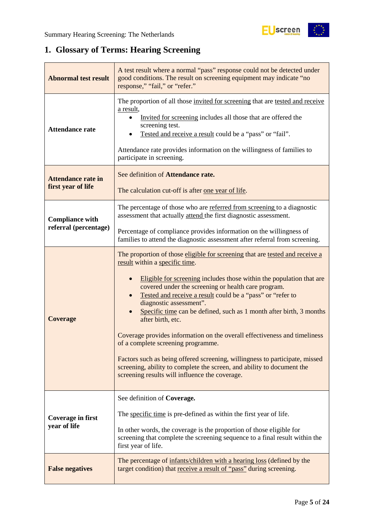

## <span id="page-4-0"></span>**1. Glossary of Terms: Hearing Screening**

| <b>Abnormal test result</b>                     | A test result where a normal "pass" response could not be detected under<br>good conditions. The result on screening equipment may indicate "no<br>response," "fail," or "refer."                                                                                                                                                                                                                                                                                                                                                                                                                                                                                                                                                                                |
|-------------------------------------------------|------------------------------------------------------------------------------------------------------------------------------------------------------------------------------------------------------------------------------------------------------------------------------------------------------------------------------------------------------------------------------------------------------------------------------------------------------------------------------------------------------------------------------------------------------------------------------------------------------------------------------------------------------------------------------------------------------------------------------------------------------------------|
| <b>Attendance rate</b>                          | The proportion of all those invited for screening that are tested and receive<br>a result,<br>Invited for screening includes all those that are offered the<br>screening test.<br>Tested and receive a result could be a "pass" or "fail".<br>Attendance rate provides information on the willingness of families to<br>participate in screening.                                                                                                                                                                                                                                                                                                                                                                                                                |
| <b>Attendance rate in</b><br>first year of life | See definition of Attendance rate.<br>The calculation cut-off is after <u>one year of life</u> .                                                                                                                                                                                                                                                                                                                                                                                                                                                                                                                                                                                                                                                                 |
| <b>Compliance with</b>                          | The percentage of those who are referred from screening to a diagnostic<br>assessment that actually attend the first diagnostic assessment.                                                                                                                                                                                                                                                                                                                                                                                                                                                                                                                                                                                                                      |
| referral (percentage)                           | Percentage of compliance provides information on the willingness of<br>families to attend the diagnostic assessment after referral from screening.                                                                                                                                                                                                                                                                                                                                                                                                                                                                                                                                                                                                               |
| <b>Coverage</b>                                 | The proportion of those eligible for screening that are tested and receive a<br>result within a specific time.<br>Eligible for screening includes those within the population that are<br>covered under the screening or health care program.<br>Tested and receive a result could be a "pass" or "refer to<br>diagnostic assessment".<br>Specific time can be defined, such as 1 month after birth, 3 months<br>after birth, etc.<br>Coverage provides information on the overall effectiveness and timeliness<br>of a complete screening programme.<br>Factors such as being offered screening, willingness to participate, missed<br>screening, ability to complete the screen, and ability to document the<br>screening results will influence the coverage. |
| <b>Coverage in first</b><br>year of life        | See definition of Coverage.<br>The specific time is pre-defined as within the first year of life.<br>In other words, the coverage is the proportion of those eligible for<br>screening that complete the screening sequence to a final result within the                                                                                                                                                                                                                                                                                                                                                                                                                                                                                                         |
| <b>False negatives</b>                          | first year of life.<br>The percentage of infants/children with a hearing loss (defined by the<br>target condition) that receive a result of "pass" during screening.                                                                                                                                                                                                                                                                                                                                                                                                                                                                                                                                                                                             |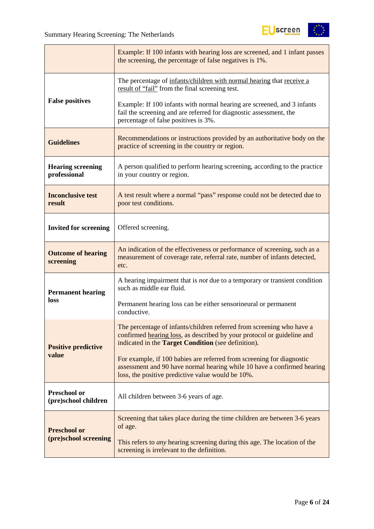

|                                          | Example: If 100 infants with hearing loss are screened, and 1 infant passes<br>the screening, the percentage of false negatives is 1%.                                                                        |
|------------------------------------------|---------------------------------------------------------------------------------------------------------------------------------------------------------------------------------------------------------------|
|                                          | The percentage of infants/children with normal hearing that receive a<br>result of "fail" from the final screening test.                                                                                      |
| <b>False positives</b>                   | Example: If 100 infants with normal hearing are screened, and 3 infants<br>fail the screening and are referred for diagnostic assessment, the<br>percentage of false positives is 3%.                         |
| <b>Guidelines</b>                        | Recommendations or instructions provided by an authoritative body on the<br>practice of screening in the country or region.                                                                                   |
| <b>Hearing screening</b><br>professional | A person qualified to perform hearing screening, according to the practice<br>in your country or region.                                                                                                      |
| <b>Inconclusive test</b><br>result       | A test result where a normal "pass" response could not be detected due to<br>poor test conditions.                                                                                                            |
| <b>Invited for screening</b>             | Offered screening.                                                                                                                                                                                            |
| <b>Outcome of hearing</b><br>screening   | An indication of the effectiveness or performance of screening, such as a<br>measurement of coverage rate, referral rate, number of infants detected,<br>etc.                                                 |
| <b>Permanent hearing</b>                 | A hearing impairment that is <i>not</i> due to a temporary or transient condition<br>such as middle ear fluid.                                                                                                |
| loss                                     | Permanent hearing loss can be either sensorineural or permanent<br>conductive.                                                                                                                                |
| <b>Positive predictive</b>               | The percentage of infants/children referred from screening who have a<br>confirmed hearing loss, as described by your protocol or guideline and<br>indicated in the <b>Target Condition</b> (see definition). |
| value                                    | For example, if 100 babies are referred from screening for diagnostic<br>assessment and 90 have normal hearing while 10 have a confirmed hearing<br>loss, the positive predictive value would be 10%.         |
| Preschool or<br>(pre)school children     | All children between 3-6 years of age.                                                                                                                                                                        |
| <b>Preschool or</b>                      | Screening that takes place during the time children are between 3-6 years<br>of age.                                                                                                                          |
| (pre)school screening                    | This refers to <i>any</i> hearing screening during this age. The location of the<br>screening is irrelevant to the definition.                                                                                |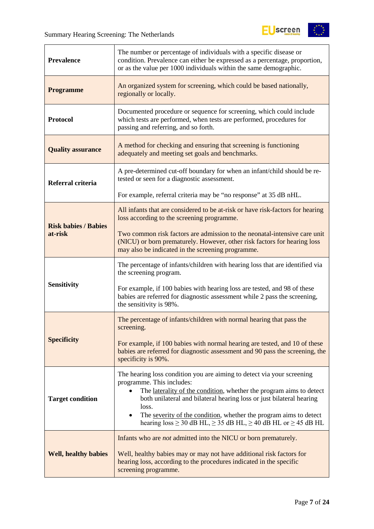

| <b>Prevalence</b>           | The number or percentage of individuals with a specific disease or<br>condition. Prevalence can either be expressed as a percentage, proportion,<br>or as the value per 1000 individuals within the same demographic.                                                                                                                                                                                                                       |
|-----------------------------|---------------------------------------------------------------------------------------------------------------------------------------------------------------------------------------------------------------------------------------------------------------------------------------------------------------------------------------------------------------------------------------------------------------------------------------------|
| <b>Programme</b>            | An organized system for screening, which could be based nationally,<br>regionally or locally.                                                                                                                                                                                                                                                                                                                                               |
| <b>Protocol</b>             | Documented procedure or sequence for screening, which could include<br>which tests are performed, when tests are performed, procedures for<br>passing and referring, and so forth.                                                                                                                                                                                                                                                          |
| <b>Quality assurance</b>    | A method for checking and ensuring that screening is functioning<br>adequately and meeting set goals and benchmarks.                                                                                                                                                                                                                                                                                                                        |
| Referral criteria           | A pre-determined cut-off boundary for when an infant/child should be re-<br>tested or seen for a diagnostic assessment.                                                                                                                                                                                                                                                                                                                     |
|                             | For example, referral criteria may be "no response" at 35 dB nHL.                                                                                                                                                                                                                                                                                                                                                                           |
| <b>Risk babies / Babies</b> | All infants that are considered to be at-risk or have risk-factors for hearing<br>loss according to the screening programme.                                                                                                                                                                                                                                                                                                                |
| at-risk                     | Two common risk factors are admission to the neonatal-intensive care unit<br>(NICU) or born prematurely. However, other risk factors for hearing loss<br>may also be indicated in the screening programme.                                                                                                                                                                                                                                  |
|                             | The percentage of infants/children with hearing loss that are identified via<br>the screening program.                                                                                                                                                                                                                                                                                                                                      |
| <b>Sensitivity</b>          | For example, if 100 babies with hearing loss are tested, and 98 of these<br>babies are referred for diagnostic assessment while 2 pass the screening,<br>the sensitivity is 98%.                                                                                                                                                                                                                                                            |
|                             | The percentage of infants/children with normal hearing that pass the<br>screening.                                                                                                                                                                                                                                                                                                                                                          |
| <b>Specificity</b>          | For example, if 100 babies with normal hearing are tested, and 10 of these<br>babies are referred for diagnostic assessment and 90 pass the screening, the<br>specificity is 90%.                                                                                                                                                                                                                                                           |
| <b>Target condition</b>     | The hearing loss condition you are aiming to detect via your screening<br>programme. This includes:<br>The laterality of the condition, whether the program aims to detect<br>$\bullet$<br>both unilateral and bilateral hearing loss or just bilateral hearing<br>loss.<br>The severity of the condition, whether the program aims to detect<br>$\bullet$<br>hearing $loss \ge 30$ dB HL, $\ge 35$ dB HL, $\ge 40$ dB HL or $\ge 45$ dB HL |
| <b>Well, healthy babies</b> | Infants who are <i>not</i> admitted into the NICU or born prematurely.<br>Well, healthy babies may or may not have additional risk factors for<br>hearing loss, according to the procedures indicated in the specific<br>screening programme.                                                                                                                                                                                               |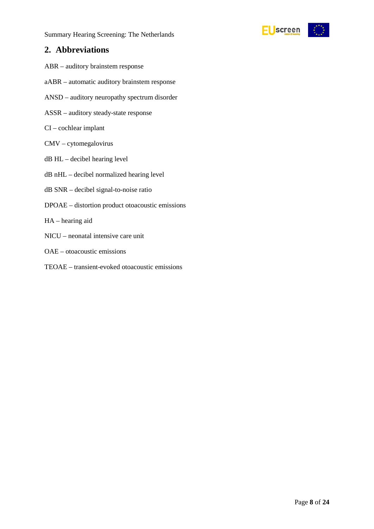

### <span id="page-7-0"></span>**2. Abbreviations**

- ABR auditory brainstem response
- aABR automatic auditory brainstem response
- ANSD auditory neuropathy spectrum disorder
- ASSR auditory steady-state response
- CI cochlear implant
- CMV cytomegalovirus
- dB HL decibel hearing level
- dB nHL decibel normalized hearing level
- dB SNR decibel signal-to-noise ratio
- DPOAE distortion product otoacoustic emissions
- HA hearing aid
- NICU neonatal intensive care unit
- OAE otoacoustic emissions
- TEOAE transient-evoked otoacoustic emissions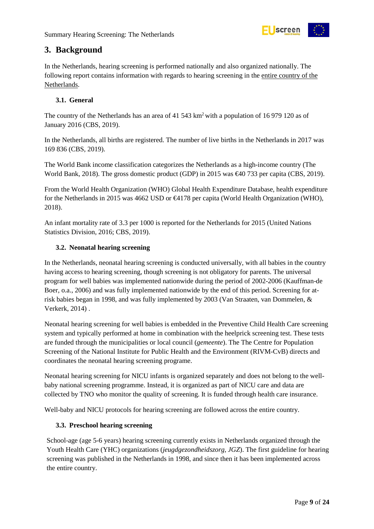

### <span id="page-8-0"></span>**3. Background**

In the Netherlands, hearing screening is performed nationally and also organized nationally. The following report contains information with regards to hearing screening in the entire country of the Netherlands.

#### <span id="page-8-1"></span>**3.1. General**

The country of the Netherlands has an area of 41 543 km<sup>2</sup> with a population of 16 979 120 as of January 2016 (CBS, 2019).

In the Netherlands, all births are registered. The number of live births in the Netherlands in 2017 was 169 836 (CBS, 2019).

The World Bank income classification categorizes the Netherlands as a high-income country (The World Bank, 2018). The gross domestic product (GDP) in 2015 was €40 733 per capita (CBS, 2019).

From the World Health Organization (WHO) Global Health Expenditure Database, health expenditure for the Netherlands in 2015 was 4662 USD or €4178 per capita (World Health Organization (WHO), 2018).

An infant mortality rate of 3.3 per 1000 is reported for the Netherlands for 2015 (United Nations Statistics Division, 2016; CBS, 2019).

#### <span id="page-8-2"></span>**3.2. Neonatal hearing screening**

In the Netherlands, neonatal hearing screening is conducted universally, with all babies in the country having access to hearing screening, though screening is not obligatory for parents. The universal program for well babies was implemented nationwide during the period of 2002-2006 (Kauffman-de Boer, o.a., 2006) and was fully implemented nationwide by the end of this period. Screening for atrisk babies began in 1998, and was fully implemented by 2003 (Van Straaten, van Dommelen, & Verkerk, 2014) .

Neonatal hearing screening for well babies is embedded in the Preventive Child Health Care screening system and typically performed at home in combination with the heelprick screening test. These tests are funded through the municipalities or local council (*gemeente*). The The Centre for Population Screening of the National Institute for Public Health and the Environment (RIVM-CvB) directs and coordinates the neonatal hearing screening programe.

Neonatal hearing screening for NICU infants is organized separately and does not belong to the wellbaby national screening programme. Instead, it is organized as part of NICU care and data are collected by TNO who monitor the quality of screening. It is funded through health care insurance.

Well-baby and NICU protocols for hearing screening are followed across the entire country.

#### <span id="page-8-3"></span>**3.3. Preschool hearing screening**

School-age (age 5-6 years) hearing screening currently exists in Netherlands organized through the Youth Health Care (YHC) organizations (*jeugdgezondheidszorg, JGZ*). The first guideline for hearing screening was published in the Netherlands in 1998, and since then it has been implemented across the entire country.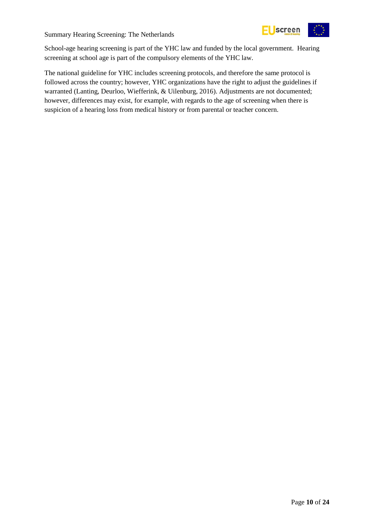

School-age hearing screening is part of the YHC law and funded by the local government. Hearing screening at school age is part of the compulsory elements of the YHC law.

The national guideline for YHC includes screening protocols, and therefore the same protocol is followed across the country; however, YHC organizations have the right to adjust the guidelines if warranted (Lanting, Deurloo, Wiefferink, & Uilenburg, 2016). Adjustments are not documented; however, differences may exist, for example, with regards to the age of screening when there is suspicion of a hearing loss from medical history or from parental or teacher concern.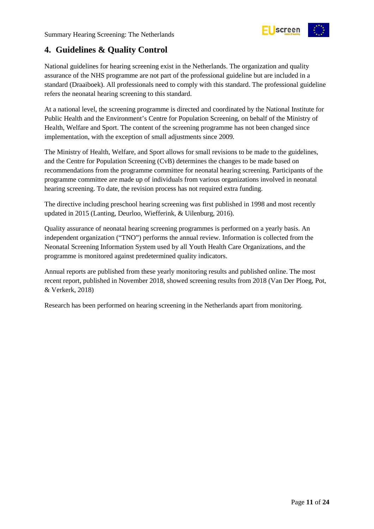

## <span id="page-10-0"></span>**4. Guidelines & Quality Control**

National guidelines for hearing screening exist in the Netherlands. The organization and quality assurance of the NHS programme are not part of the professional guideline but are included in a standard (Draaiboek). All professionals need to comply with this standard. The professional guideline refers the neonatal hearing screening to this standard.

At a national level, the screening programme is directed and coordinated by the National Institute for Public Health and the Environment's Centre for Population Screening, on behalf of the Ministry of Health, Welfare and Sport. The content of the screening programme has not been changed since implementation, with the exception of small adjustments since 2009.

The Ministry of Health, Welfare, and Sport allows for small revisions to be made to the guidelines, and the Centre for Population Screening (CvB) determines the changes to be made based on recommendations from the programme committee for neonatal hearing screening. Participants of the programme committee are made up of individuals from various organizations involved in neonatal hearing screening. To date, the revision process has not required extra funding.

The directive including preschool hearing screening was first published in 1998 and most recently updated in 2015 (Lanting, Deurloo, Wiefferink, & Uilenburg, 2016).

Quality assurance of neonatal hearing screening programmes is performed on a yearly basis. An independent organization ("TNO") performs the annual review. Information is collected from the Neonatal Screening Information System used by all Youth Health Care Organizations, and the programme is monitored against predetermined quality indicators.

Annual reports are published from these yearly monitoring results and published online. The most recent report, published in November 2018, showed screening results from 2018 (Van Der Ploeg, Pot, & Verkerk, 2018)

Research has been performed on hearing screening in the Netherlands apart from monitoring.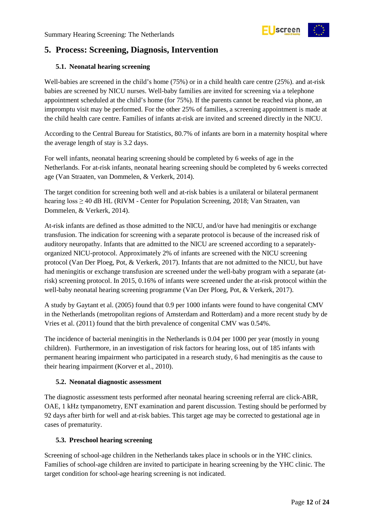

## <span id="page-11-0"></span>**5. Process: Screening, Diagnosis, Intervention**

#### <span id="page-11-1"></span>**5.1. Neonatal hearing screening**

Well-babies are screened in the child's home (75%) or in a child health care centre (25%). and at-risk babies are screened by NICU nurses. Well-baby families are invited for screening via a telephone appointment scheduled at the child's home (for 75%). If the parents cannot be reached via phone, an impromptu visit may be performed. For the other 25% of families, a screening appointment is made at the child health care centre. Families of infants at-risk are invited and screened directly in the NICU.

According to the Central Bureau for Statistics, 80.7% of infants are born in a maternity hospital where the average length of stay is 3.2 days.

For well infants, neonatal hearing screening should be completed by 6 weeks of age in the Netherlands. For at-risk infants, neonatal hearing screening should be completed by 6 weeks corrected age (Van Straaten, van Dommelen, & Verkerk, 2014).

The target condition for screening both well and at-risk babies is a unilateral or bilateral permanent hearing loss ≥ 40 dB HL (RIVM - Center for Population Screening, 2018; Van Straaten, van Dommelen, & Verkerk, 2014).

At-risk infants are defined as those admitted to the NICU, and/or have had meningitis or exchange transfusion. The indication for screening with a separate protocol is because of the increased risk of auditory neuropathy. Infants that are admitted to the NICU are screened according to a separatelyorganized NICU-protocol. Approximately 2% of infants are screened with the NICU screening protocol (Van Der Ploeg, Pot, & Verkerk, 2017). Infants that are not admitted to the NICU, but have had meningitis or exchange transfusion are screened under the well-baby program with a separate (atrisk) screening protocol. In 2015, 0.16% of infants were screened under the at-risk protocol within the well-baby neonatal hearing screening programme (Van Der Ploeg, Pot, & Verkerk, 2017).

A study by Gaytant et al. (2005) found that 0.9 per 1000 infants were found to have congenital CMV in the Netherlands (metropolitan regions of Amsterdam and Rotterdam) and a more recent study by de Vries et al. (2011) found that the birth prevalence of congenital CMV was 0.54%.

The incidence of bacterial meningitis in the Netherlands is 0.04 per 1000 per year (mostly in young children). Furthermore, in an investigation of risk factors for hearing loss, out of 185 infants with permanent hearing impairment who participated in a research study, 6 had meningitis as the cause to their hearing impairment (Korver et al., 2010).

#### <span id="page-11-2"></span>**5.2. Neonatal diagnostic assessment**

The diagnostic assessment tests performed after neonatal hearing screening referral are click-ABR, OAE, 1 kHz tympanometry, ENT examination and parent discussion. Testing should be performed by 92 days after birth for well and at-risk babies. This target age may be corrected to gestational age in cases of prematurity.

#### <span id="page-11-3"></span>**5.3. Preschool hearing screening**

Screening of school-age children in the Netherlands takes place in schools or in the YHC clinics. Families of school-age children are invited to participate in hearing screening by the YHC clinic. The target condition for school-age hearing screening is not indicated.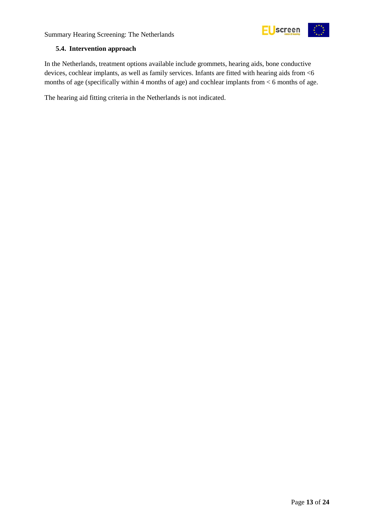



#### <span id="page-12-0"></span>**5.4. Intervention approach**

In the Netherlands, treatment options available include grommets, hearing aids, bone conductive devices, cochlear implants, as well as family services. Infants are fitted with hearing aids from <6 months of age (specifically within 4 months of age) and cochlear implants from < 6 months of age.

The hearing aid fitting criteria in the Netherlands is not indicated.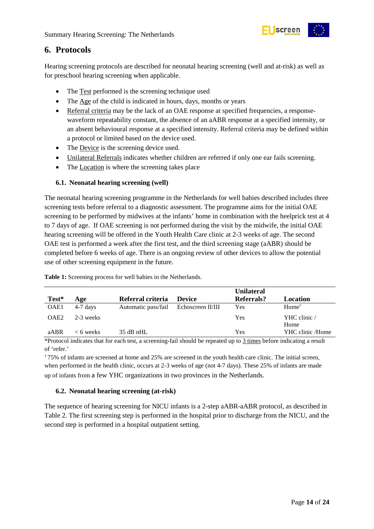

## <span id="page-13-0"></span>**6. Protocols**

Hearing screening protocols are described for neonatal hearing screening (well and at-risk) as well as for preschool hearing screening when applicable.

- The Test performed is the screening technique used
- The Age of the child is indicated in hours, days, months or years
- Referral criteria may be the lack of an OAE response at specified frequencies, a responsewaveform repeatability constant, the absence of an aABR response at a specified intensity, or an absent behavioural response at a specified intensity. Referral criteria may be defined within a protocol or limited based on the device used.
- The <u>Device</u> is the screening device used.
- Unilateral Referrals indicates whether children are referred if only one ear fails screening.
- The Location is where the screening takes place

#### <span id="page-13-1"></span>**6.1. Neonatal hearing screening (well)**

The neonatal hearing screening programme in the Netherlands for well babies described includes three screening tests before referral to a diagnostic assessment. The programme aims for the initial OAE screening to be performed by midwives at the infants' home in combination with the heelprick test at 4 to 7 days of age. If OAE screening is not performed during the visit by the midwife, the initial OAE hearing screening will be offered in the Youth Health Care clinic at 2-3 weeks of age. The second OAE test is performed a week after the first test, and the third screening stage (aABR) should be completed before 6 weeks of age. There is an ongoing review of other devices to allow the potential use of other screening equipment in the future.

|                  |             |                     |                   | <b>Unilateral</b> |                      |
|------------------|-------------|---------------------|-------------------|-------------------|----------------------|
| Test*            | Age         | Referral criteria   | <b>Device</b>     | Referrals?        | Location             |
| OAE1             | $4-7$ days  | Automatic pass/fail | Echoscreen II/III | Yes               | $Home^{\dagger}$     |
| OAE <sub>2</sub> | 2-3 weeks   |                     |                   | Yes               | YHC clinic /<br>Home |
| aABR             | $< 6$ weeks | $35$ dB nHL         |                   | Yes               | YHC clinic /Home     |

<span id="page-13-3"></span>**Table 1:** Screening process for well babies in the Netherlands.

\*Protocol indicates that for each test, a screening-fail should be repeated up to 3 times before indicating a result of 'refer.'

† 75% of infants are screened at home and 25% are screened in the youth health care clinic. The initial screen, when performed in the health clinic, occurs at 2-3 weeks of age (not 4-7 days). These 25% of infants are made up of infants from a few YHC organizations in two provinces in the Netherlands.

#### <span id="page-13-2"></span>**6.2. Neonatal hearing screening (at-risk)**

The sequence of hearing screening for NICU infants is a 2-step aABR-aABR protocol, as described in Table 2. The first screening step is performed in the hospital prior to discharge from the NICU, and the second step is performed in a hospital outpatient setting.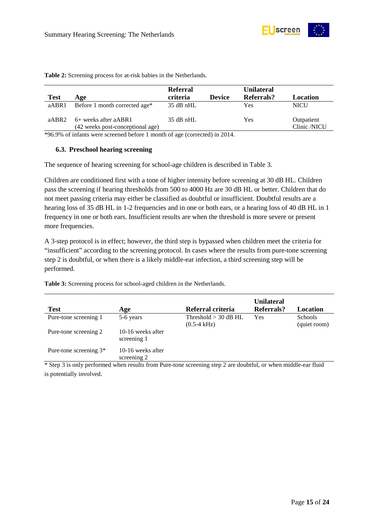

|             |                                                          | <b>Referral</b> |               | <b>Unilateral</b> |                            |
|-------------|----------------------------------------------------------|-----------------|---------------|-------------------|----------------------------|
| <b>Test</b> | Age                                                      | criteria        | <b>Device</b> | Referrals?        | Location                   |
| aABR1       | Before 1 month corrected age*                            | 35 dB nHL       |               | Yes               | NICU                       |
| aABR2       | 6+ weeks after aABR1<br>(42 weeks post-conceptional age) | $35$ dB nHL     |               | Yes               | Outpatient<br>Clinic /NICU |

<span id="page-14-1"></span>**Table 2:** Screening process for at-risk babies in the Netherlands.

\*96.9% of infants were screened before 1 month of age (corrected) in 2014.

#### <span id="page-14-0"></span>**6.3. Preschool hearing screening**

The sequence of hearing screening for school-age children is described in Table 3.

Children are conditioned first with a tone of higher intensity before screening at 30 dB HL. Children pass the screening if hearing thresholds from 500 to 4000 Hz are 30 dB HL or better. Children that do not meet passing criteria may either be classified as doubtful or insufficient. Doubtful results are a hearing loss of 35 dB HL in 1-2 frequencies and in one or both ears, or a hearing loss of 40 dB HL in 1 frequency in one or both ears. Insufficient results are when the threshold is more severe or present more frequencies.

A 3-step protocol is in effect; however, the third step is bypassed when children meet the criteria for "insufficient" according to the screening protocol. In cases where the results from pure-tone screening step 2 is doubtful, or when there is a likely middle-ear infection, a third screening step will be performed.

<span id="page-14-2"></span>**Table 3:** Screening process for school-aged children in the Netherlands.

| <b>Test</b>              | Age                              | Referral criteria                               | <b>Unilateral</b><br>Referrals? | Location                       |
|--------------------------|----------------------------------|-------------------------------------------------|---------------------------------|--------------------------------|
| Pure-tone screening 1    | 5-6 years                        | Threshold $>$ 30 dB HL<br>$(0.5-4 \text{ kHz})$ | Yes                             | <b>Schools</b><br>(quiet room) |
| Pure-tone screening 2    | 10-16 weeks after<br>screening 1 |                                                 |                                 |                                |
| Pure-tone screening $3*$ | 10-16 weeks after<br>screening 2 |                                                 |                                 |                                |

\* Step 3 is only performed when results from Pure-tone screening step 2 are doubtful, or when middle-ear fluid is potentially involved.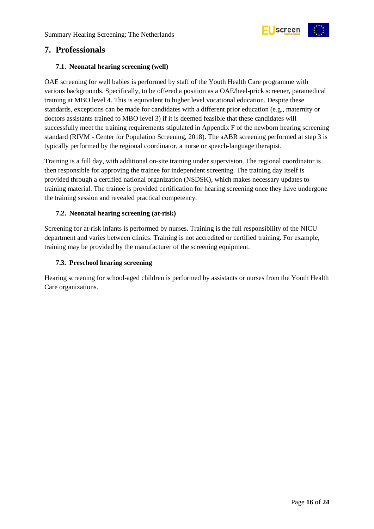

### <span id="page-15-0"></span>**7. Professionals**

#### <span id="page-15-1"></span>**7.1. Neonatal hearing screening (well)**

OAE screening for well babies is performed by staff of the Youth Health Care programme with various backgrounds. Specifically, to be offered a position as a OAE/heel-prick screener, paramedical training at MBO level 4. This is equivalent to higher level vocational education. Despite these standards, exceptions can be made for candidates with a different prior education (e.g., maternity or doctors assistants trained to MBO level 3) if it is deemed feasible that these candidates will successfully meet the training requirements stipulated in Appendix F of the newborn hearing screening standard (RIVM - Center for Population Screening, 2018). The aABR screening performed at step 3 is typically performed by the regional coordinator, a nurse or speech-language therapist.

Training is a full day, with additional on-site training under supervision. The regional coordinator is then responsible for approving the trainee for independent screening. The training day itself is provided through a certified national organization (NSDSK), which makes necessary updates to training material. The trainee is provided certification for hearing screening once they have undergone the training session and revealed practical competency.

#### <span id="page-15-2"></span>**7.2. Neonatal hearing screening (at-risk)**

Screening for at-risk infants is performed by nurses. Training is the full responsibility of the NICU department and varies between clinics. Training is not accredited or certified training. For example, training may be provided by the manufacturer of the screening equipment.

#### <span id="page-15-3"></span>**7.3. Preschool hearing screening**

Hearing screening for school-aged children is performed by assistants or nurses from the Youth Health Care organizations.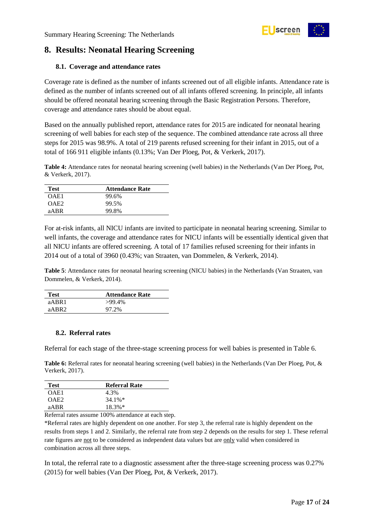

## <span id="page-16-0"></span>**8. Results: Neonatal Hearing Screening**

#### <span id="page-16-1"></span>**8.1. Coverage and attendance rates**

Coverage rate is defined as the number of infants screened out of all eligible infants. Attendance rate is defined as the number of infants screened out of all infants offered screening. In principle, all infants should be offered neonatal hearing screening through the Basic Registration Persons. Therefore, coverage and attendance rates should be about equal.

Based on the annually published report, attendance rates for 2015 are indicated for neonatal hearing screening of well babies for each step of the sequence. The combined attendance rate across all three steps for 2015 was 98.9%. A total of 219 parents refused screening for their infant in 2015, out of a total of 166 911 eligible infants (0.13%; Van Der Ploeg, Pot, & Verkerk, 2017).

<span id="page-16-3"></span>**Table 4:** Attendance rates for neonatal hearing screening (well babies) in the Netherlands (Van Der Ploeg, Pot, & Verkerk, 2017).

| Test             | <b>Attendance Rate</b> |
|------------------|------------------------|
| OAE1             | 99.6%                  |
| OAE <sub>2</sub> | 99.5%                  |
| aABR             | 99.8%                  |

For at-risk infants, all NICU infants are invited to participate in neonatal hearing screening. Similar to well infants, the coverage and attendance rates for NICU infants will be essentially identical given that all NICU infants are offered screening. A total of 17 families refused screening for their infants in 2014 out of a total of 3960 (0.43%; van Straaten, van Dommelen, & Verkerk, 2014).

<span id="page-16-4"></span>**Table 5**: Attendance rates for neonatal hearing screening (NICU babies) in the Netherlands (Van Straaten, van Dommelen, & Verkerk, 2014).

| <b>Test</b>       | <b>Attendance Rate</b> |
|-------------------|------------------------|
| aABR1             | $>99.4\%$              |
| aABR <sub>2</sub> | 97.2%                  |

#### <span id="page-16-2"></span>**8.2. Referral rates**

Referral for each stage of the three-stage screening process for well babies is presented in Table 6.

<span id="page-16-5"></span>**Table 6:** Referral rates for neonatal hearing screening (well babies) in the Netherlands (Van Der Ploeg, Pot, & Verkerk, 2017).

| <b>Test</b>      | <b>Referral Rate</b> |
|------------------|----------------------|
| OAE1             | 4.3%                 |
| OAE <sub>2</sub> | $34.1\%*$            |
| aABR             | $18.3\%*$            |

Referral rates assume 100% attendance at each step.

\*Referral rates are highly dependent on one another. For step 3, the referral rate is highly dependent on the results from steps 1 and 2. Similarly, the referral rate from step 2 depends on the results for step 1. These referral rate figures are not to be considered as independent data values but are only valid when considered in combination across all three steps.

In total, the referral rate to a diagnostic assessment after the three-stage screening process was 0.27% (2015) for well babies (Van Der Ploeg, Pot, & Verkerk, 2017).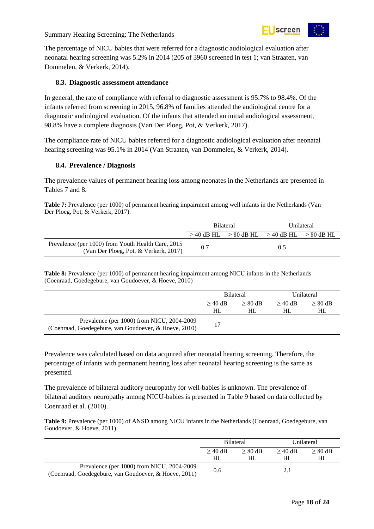

The percentage of NICU babies that were referred for a diagnostic audiological evaluation after neonatal hearing screening was 5.2% in 2014 (205 of 3960 screened in test 1; van Straaten, van Dommelen, & Verkerk, 2014).

#### <span id="page-17-0"></span>**8.3. Diagnostic assessment attendance**

In general, the rate of compliance with referral to diagnostic assessment is 95.7% to 98.4%. Of the infants referred from screening in 2015, 96.8% of families attended the audiological centre for a diagnostic audiological evaluation. Of the infants that attended an initial audiological assessment, 98.8% have a complete diagnosis (Van Der Ploeg, Pot, & Verkerk, 2017).

The compliance rate of NICU babies referred for a diagnostic audiological evaluation after neonatal hearing screening was 95.1% in 2014 (Van Straaten, van Dommelen, & Verkerk, 2014).

#### <span id="page-17-1"></span>**8.4. Prevalence / Diagnosis**

The prevalence values of permanent hearing loss among neonates in the Netherlands are presented in Tables 7 and 8.

<span id="page-17-2"></span>**Table 7:** Prevalence (per 1000) of permanent hearing impairment among well infants in the Netherlands (Van Der Ploeg, Pot, & Verkerk, 2017).

|                                                                                             | <b>Bilateral</b> |  | Unilateral                                                      |  |
|---------------------------------------------------------------------------------------------|------------------|--|-----------------------------------------------------------------|--|
|                                                                                             |                  |  | $\geq$ 40 dB HL $\geq$ 80 dB HL $\geq$ 40 dB HL $\geq$ 80 dB HL |  |
| Prevalence (per 1000) from Youth Health Care, 2015<br>(Van Der Ploeg, Pot, & Verkerk, 2017) | 0.7              |  | 0.5                                                             |  |

<span id="page-17-3"></span>**Table 8:** Prevalence (per 1000) of permanent hearing impairment among NICU infants in the Netherlands (Coenraad, Goedegebure, van Goudoever, & Hoeve, 2010)

|                                                                                                     | <b>Bilateral</b> |           | Unilateral |           |
|-----------------------------------------------------------------------------------------------------|------------------|-----------|------------|-----------|
|                                                                                                     | $>$ 40 dB        | $> 80$ dB | $>40$ dB   | $> 80$ dB |
|                                                                                                     | HL               | HL        | HL.        | HL        |
| Prevalence (per 1000) from NICU, 2004-2009<br>(Coenraad, Goedegebure, van Goudoever, & Hoeve, 2010) | 17               |           |            |           |

Prevalence was calculated based on data acquired after neonatal hearing screening. Therefore, the percentage of infants with permanent hearing loss after neonatal hearing screening is the same as presented.

The prevalence of bilateral auditory neuropathy for well-babies is unknown. The prevalence of bilateral auditory neuropathy among NICU-babies is presented in Table 9 based on data collected by Coenraad et al. (2010).

<span id="page-17-4"></span>**Table 9:** Prevalence (per 1000) of ANSD among NICU infants in the Netherlands (Coenraad, Goedegebure, van Goudoever, & Hoeve, 2011).

|                                                                                                     | <b>Bilateral</b> |           | Unilateral |           |
|-----------------------------------------------------------------------------------------------------|------------------|-----------|------------|-----------|
|                                                                                                     | $>$ 40 dB        | $> 80$ dB | $>40$ dB   | $> 80$ dB |
|                                                                                                     | HL               | HL        | HL         | HL        |
| Prevalence (per 1000) from NICU, 2004-2009<br>(Coenraad, Goedegebure, van Goudoever, & Hoeve, 2011) | 0.6              |           |            |           |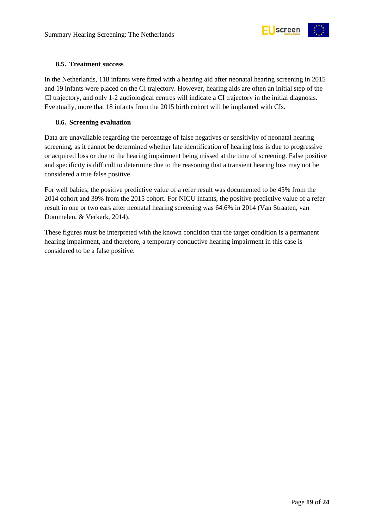

#### <span id="page-18-0"></span>**8.5. Treatment success**

In the Netherlands, 118 infants were fitted with a hearing aid after neonatal hearing screening in 2015 and 19 infants were placed on the CI trajectory. However, hearing aids are often an initial step of the CI trajectory, and only 1-2 audiological centres will indicate a CI trajectory in the initial diagnosis. Eventually, more that 18 infants from the 2015 birth cohort will be implanted with CIs.

#### <span id="page-18-1"></span>**8.6. Screening evaluation**

Data are unavailable regarding the percentage of false negatives or sensitivity of neonatal hearing screening, as it cannot be determined whether late identification of hearing loss is due to progressive or acquired loss or due to the hearing impairment being missed at the time of screening. False positive and specificity is difficult to determine due to the reasoning that a transient hearing loss may not be considered a true false positive.

For well babies, the positive predictive value of a refer result was documented to be 45% from the 2014 cohort and 39% from the 2015 cohort. For NICU infants, the positive predictive value of a refer result in one or two ears after neonatal hearing screening was 64.6% in 2014 (Van Straaten, van Dommelen, & Verkerk, 2014).

These figures must be interpreted with the known condition that the target condition is a permanent hearing impairment, and therefore, a temporary conductive hearing impairment in this case is considered to be a false positive.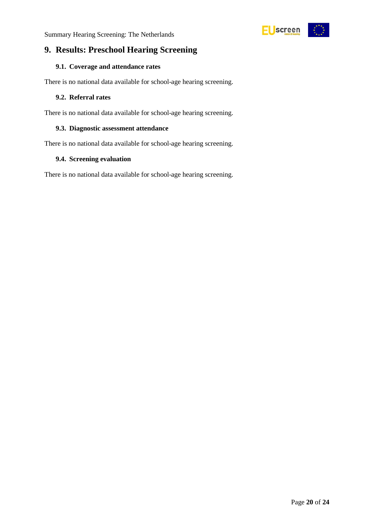

### <span id="page-19-0"></span>**9. Results: Preschool Hearing Screening**

#### <span id="page-19-1"></span>**9.1. Coverage and attendance rates**

There is no national data available for school-age hearing screening.

#### <span id="page-19-2"></span>**9.2. Referral rates**

There is no national data available for school-age hearing screening.

#### <span id="page-19-3"></span>**9.3. Diagnostic assessment attendance**

There is no national data available for school-age hearing screening.

#### <span id="page-19-4"></span>**9.4. Screening evaluation**

There is no national data available for school-age hearing screening.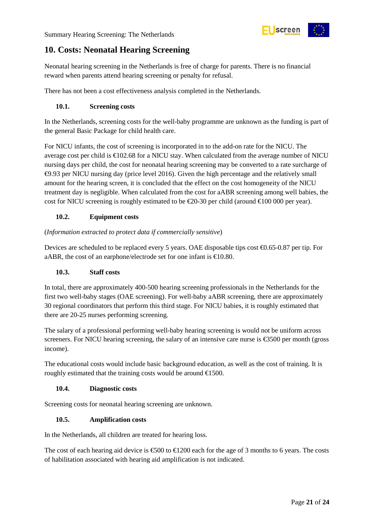

## <span id="page-20-0"></span>**10. Costs: Neonatal Hearing Screening**

Neonatal hearing screening in the Netherlands is free of charge for parents. There is no financial reward when parents attend hearing screening or penalty for refusal.

There has not been a cost effectiveness analysis completed in the Netherlands.

#### <span id="page-20-1"></span>**10.1. Screening costs**

In the Netherlands, screening costs for the well-baby programme are unknown as the funding is part of the general Basic Package for child health care.

For NICU infants, the cost of screening is incorporated in to the add-on rate for the NICU. The average cost per child is  $\epsilon$ 102.68 for a NICU stay. When calculated from the average number of NICU nursing days per child, the cost for neonatal hearing screening may be converted to a rate surcharge of €9.93 per NICU nursing day (price level 2016). Given the high percentage and the relatively small amount for the hearing screen, it is concluded that the effect on the cost homogeneity of the NICU treatment day is negligible. When calculated from the cost for aABR screening among well babies, the cost for NICU screening is roughly estimated to be €20-30 per child (around €100 000 per year).

#### <span id="page-20-2"></span>**10.2. Equipment costs**

#### (*Information extracted to protect data if commercially sensitive*)

Devices are scheduled to be replaced every 5 years. OAE disposable tips cost €0.65-0.87 per tip. For aABR, the cost of an earphone/electrode set for one infant is  $\epsilon 10.80$ .

#### <span id="page-20-3"></span>**10.3. Staff costs**

In total, there are approximately 400-500 hearing screening professionals in the Netherlands for the first two well-baby stages (OAE screening). For well-baby aABR screening, there are approximately 30 regional coordinators that perform this third stage. For NICU babies, it is roughly estimated that there are 20-25 nurses performing screening.

The salary of a professional performing well-baby hearing screening is would not be uniform across screeners. For NICU hearing screening, the salary of an intensive care nurse is €3500 per month (gross income).

The educational costs would include basic background education, as well as the cost of training. It is roughly estimated that the training costs would be around  $E$  500.

#### <span id="page-20-4"></span>**10.4. Diagnostic costs**

Screening costs for neonatal hearing screening are unknown.

#### <span id="page-20-5"></span>**10.5. Amplification costs**

In the Netherlands, all children are treated for hearing loss.

The cost of each hearing aid device is  $\epsilon$ 500 to  $\epsilon$ 1200 each for the age of 3 months to 6 years. The costs of habilitation associated with hearing aid amplification is not indicated.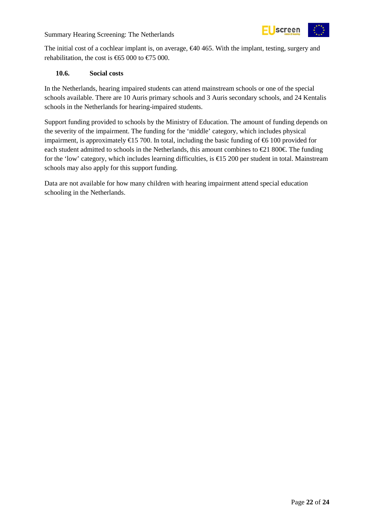

The initial cost of a cochlear implant is, on average, €40 465. With the implant, testing, surgery and rehabilitation, the cost is  $\text{ }65\text{ }000$  to  $\text{ }675\text{ }000$ .

#### <span id="page-21-0"></span>**10.6. Social costs**

In the Netherlands, hearing impaired students can attend mainstream schools or one of the special schools available. There are 10 Auris primary schools and 3 Auris secondary schools, and 24 Kentalis schools in the Netherlands for hearing-impaired students.

Support funding provided to schools by the Ministry of Education. The amount of funding depends on the severity of the impairment. The funding for the 'middle' category, which includes physical impairment, is approximately  $\text{€}15\ 700$ . In total, including the basic funding of  $\text{€}6\ 100$  provided for each student admitted to schools in the Netherlands, this amount combines to  $\epsilon$  1800 $\epsilon$ . The funding for the 'low' category, which includes learning difficulties, is €15 200 per student in total. Mainstream schools may also apply for this support funding.

Data are not available for how many children with hearing impairment attend special education schooling in the Netherlands.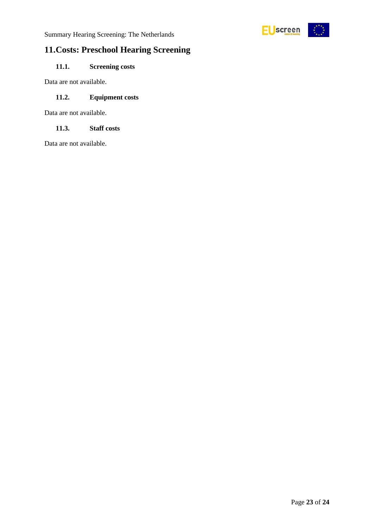

## <span id="page-22-0"></span>**11.Costs: Preschool Hearing Screening**

#### <span id="page-22-1"></span>**11.1. Screening costs**

Data are not available.

#### <span id="page-22-2"></span>**11.2. Equipment costs**

Data are not available.

#### <span id="page-22-3"></span>**11.3. Staff costs**

Data are not available.